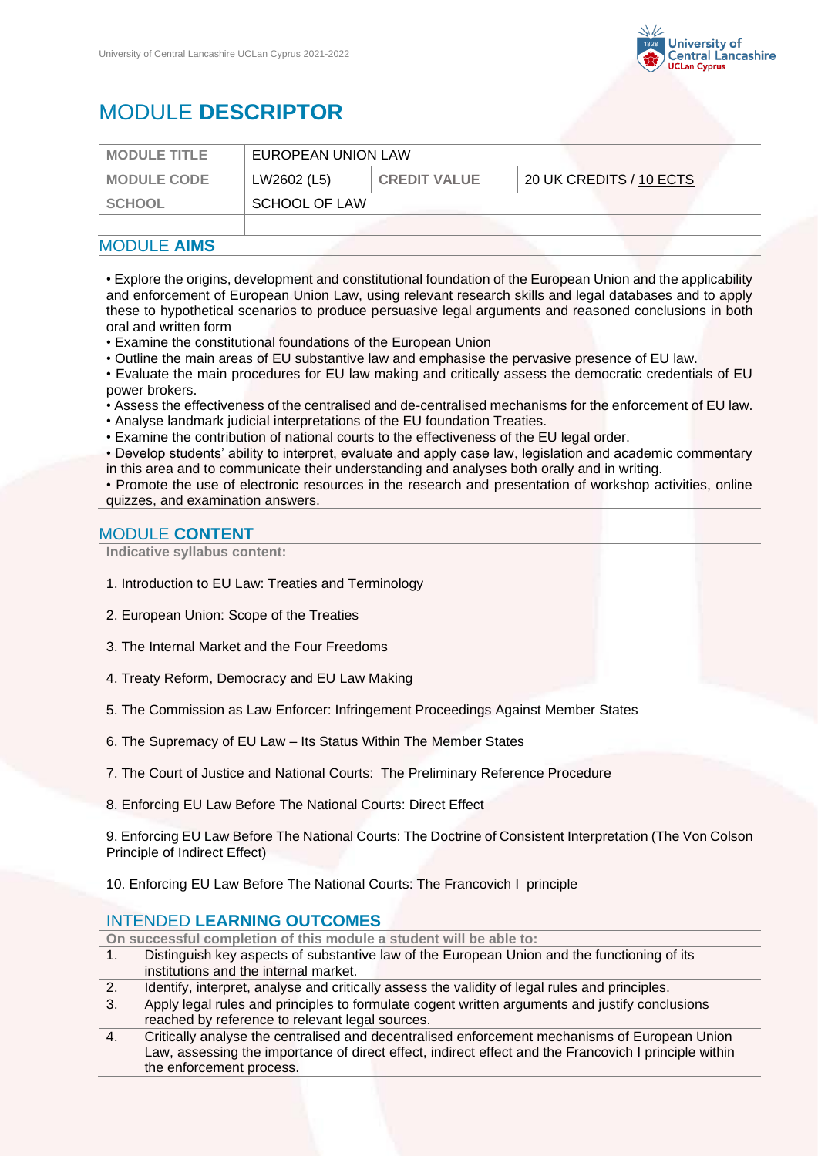

# MODULE **DESCRIPTOR**

| <b>MODULE TITLE</b> | EUROPEAN UNION LAW |                     |                         |
|---------------------|--------------------|---------------------|-------------------------|
| <b>MODULE CODE</b>  | LW2602 (L5)        | <b>CREDIT VALUE</b> | 20 UK CREDITS / 10 ECTS |
| <b>SCHOOL</b>       | SCHOOL OF LAW      |                     |                         |
|                     |                    |                     |                         |

# MODULE **AIMS**

• Explore the origins, development and constitutional foundation of the European Union and the applicability and enforcement of European Union Law, using relevant research skills and legal databases and to apply these to hypothetical scenarios to produce persuasive legal arguments and reasoned conclusions in both oral and written form

- Examine the constitutional foundations of the European Union
- Outline the main areas of EU substantive law and emphasise the pervasive presence of EU law.
- Evaluate the main procedures for EU law making and critically assess the democratic credentials of EU power brokers.
- Assess the effectiveness of the centralised and de-centralised mechanisms for the enforcement of EU law.
- Analyse landmark judicial interpretations of the EU foundation Treaties.
- Examine the contribution of national courts to the effectiveness of the EU legal order.

• Develop students' ability to interpret, evaluate and apply case law, legislation and academic commentary in this area and to communicate their understanding and analyses both orally and in writing.

• Promote the use of electronic resources in the research and presentation of workshop activities, online quizzes, and examination answers.

#### MODULE **CONTENT**

**Indicative syllabus content:**

- 1. Introduction to EU Law: Treaties and Terminology
- 2. European Union: Scope of the Treaties
- 3. The Internal Market and the Four Freedoms
- 4. Treaty Reform, Democracy and EU Law Making
- 5. The Commission as Law Enforcer: Infringement Proceedings Against Member States
- 6. The Supremacy of EU Law Its Status Within The Member States
- 7. The Court of Justice and National Courts: The Preliminary Reference Procedure
- 8. Enforcing EU Law Before The National Courts: Direct Effect

9. Enforcing EU Law Before The National Courts: The Doctrine of Consistent Interpretation (The Von Colson Principle of Indirect Effect)

10. Enforcing EU Law Before The National Courts: The Francovich I principle

## INTENDED **LEARNING OUTCOMES**

**On successful completion of this module a student will be able to:**

- 1. Distinguish key aspects of substantive law of the European Union and the functioning of its institutions and the internal market.
- 2. Identify, interpret, analyse and critically assess the validity of legal rules and principles.
- 3. Apply legal rules and principles to formulate cogent written arguments and justify conclusions reached by reference to relevant legal sources.
- 4. Critically analyse the centralised and decentralised enforcement mechanisms of European Union Law, assessing the importance of direct effect, indirect effect and the Francovich I principle within the enforcement process.